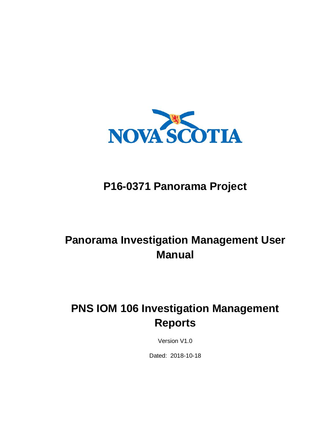

## **P16-0371 Panorama Project**

## **Panorama Investigation Management User Manual**

## **PNS IOM 106 Investigation Management Reports**

Version V1.0

Dated: 2018-10-18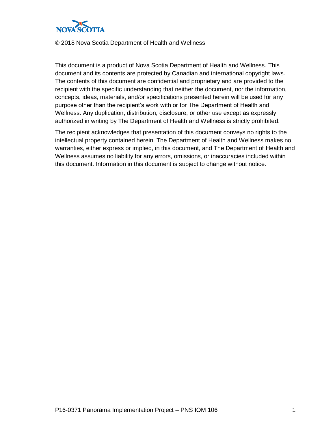

#### © 2018 Nova Scotia Department of Health and Wellness

This document is a product of Nova Scotia Department of Health and Wellness. This document and its contents are protected by Canadian and international copyright laws. The contents of this document are confidential and proprietary and are provided to the recipient with the specific understanding that neither the document, nor the information, concepts, ideas, materials, and/or specifications presented herein will be used for any purpose other than the recipient's work with or for The Department of Health and Wellness. Any duplication, distribution, disclosure, or other use except as expressly authorized in writing by The Department of Health and Wellness is strictly prohibited.

The recipient acknowledges that presentation of this document conveys no rights to the intellectual property contained herein. The Department of Health and Wellness makes no warranties, either express or implied, in this document, and The Department of Health and Wellness assumes no liability for any errors, omissions, or inaccuracies included within this document. Information in this document is subject to change without notice.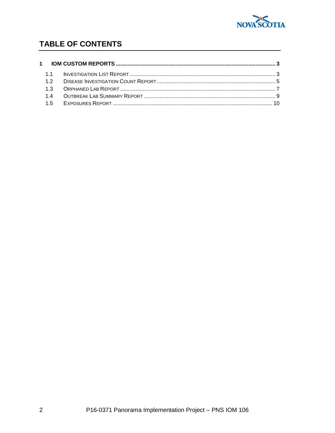

### TABLE OF CONTENTS

| 12 <sub>2</sub> |  |
|-----------------|--|
|                 |  |
|                 |  |
|                 |  |
|                 |  |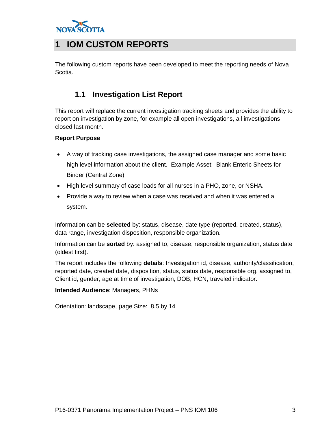

## <span id="page-4-0"></span>**1 IOM CUSTOM REPORTS**

<span id="page-4-1"></span>The following custom reports have been developed to meet the reporting needs of Nova Scotia.

### **1.1 Investigation List Report**

This report will replace the current investigation tracking sheets and provides the ability to report on investigation by zone, for example all open investigations, all investigations closed last month.

#### **Report Purpose**

- A way of tracking case investigations, the assigned case manager and some basic high level information about the client. Example Asset: Blank Enteric Sheets for Binder (Central Zone)
- High level summary of case loads for all nurses in a PHO, zone, or NSHA.
- Provide a way to review when a case was received and when it was entered a system.

Information can be **selected** by: status, disease, date type (reported, created, status), data range, investigation disposition, responsible organization.

Information can be **sorted** by: assigned to, disease, responsible organization, status date (oldest first).

The report includes the following **details**: Investigation id, disease, authority/classification, reported date, created date, disposition, status, status date, responsible org, assigned to, Client id, gender, age at time of investigation, DOB, HCN, traveled indicator.

**Intended Audience**: Managers, PHNs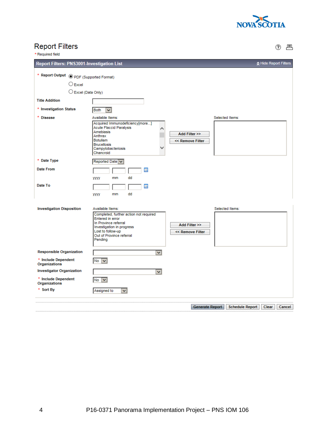

# Report Filters<br>\*Required field

② 昌

| <b>Report Filters: PNS3001-Investigation List</b> |                                                                                                                                                                                                        |                                   |                 |                 |       | ☆ Hide Report Filters |
|---------------------------------------------------|--------------------------------------------------------------------------------------------------------------------------------------------------------------------------------------------------------|-----------------------------------|-----------------|-----------------|-------|-----------------------|
|                                                   |                                                                                                                                                                                                        |                                   |                 |                 |       |                       |
| * Report Output © PDF (Supported Format)          |                                                                                                                                                                                                        |                                   |                 |                 |       |                       |
| $\bigcirc$ Excel                                  |                                                                                                                                                                                                        |                                   |                 |                 |       |                       |
| C Excel (Data Only)                               |                                                                                                                                                                                                        |                                   |                 |                 |       |                       |
| <b>Title Addition</b>                             |                                                                                                                                                                                                        |                                   |                 |                 |       |                       |
| * Investigation Status                            | <b>Both</b><br>$\checkmark$                                                                                                                                                                            |                                   |                 |                 |       |                       |
| * Disease                                         | Available Items:                                                                                                                                                                                       |                                   | Selected Items: |                 |       |                       |
|                                                   | Acquired Immunodeficiency[more]<br><b>Acute Flaccid Paralysis</b><br>Amebiasis<br>Anthrax<br><b>Botulism</b><br><b>Brucellosis</b><br>Campylobacteriosis<br>Chancroid                                  | Add Filter >><br><< Remove Filter |                 |                 |       |                       |
| * Date Type                                       | Reported Date v                                                                                                                                                                                        |                                   |                 |                 |       |                       |
| <b>Date From</b>                                  | 噩                                                                                                                                                                                                      |                                   |                 |                 |       |                       |
|                                                   | dd<br>yyyy<br>mm                                                                                                                                                                                       |                                   |                 |                 |       |                       |
| Date To                                           | 噩                                                                                                                                                                                                      |                                   |                 |                 |       |                       |
|                                                   | dd<br>mm<br>УУУУ                                                                                                                                                                                       |                                   |                 |                 |       |                       |
| <b>Investigation Disposition</b>                  | Available Items:<br>Completed, further action not required<br><b>Entered in error</b><br>In Province referral<br>Investigation in progress<br>Lost to follow-up<br>Out of Province referral<br>Pending | Add Filter >>                     |                 | Selected Items: |       |                       |
| <b>Responsible Organization</b>                   | $\checkmark$                                                                                                                                                                                           |                                   |                 |                 |       |                       |
| * Include Dependent<br>Organizations              | No                                                                                                                                                                                                     |                                   |                 |                 |       |                       |
| <b>Investigator Organization</b>                  | ×.                                                                                                                                                                                                     |                                   |                 |                 |       |                       |
| * Include Dependent<br>Organizations              | $No \vee$                                                                                                                                                                                              |                                   |                 |                 |       |                       |
| * Sort By                                         | Assigned to<br>v                                                                                                                                                                                       |                                   |                 |                 |       |                       |
|                                                   |                                                                                                                                                                                                        |                                   |                 |                 |       |                       |
|                                                   |                                                                                                                                                                                                        | Generate Report                   |                 | Schedule Report | Clear | Cancel                |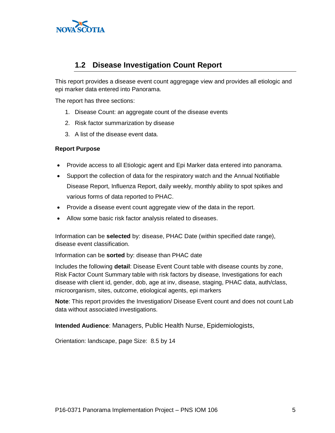

### <span id="page-6-0"></span>**1.2 Disease Investigation Count Report**

This report provides a disease event count aggregage view and provides all etiologic and epi marker data entered into Panorama.

The report has three sections:

- 1. Disease Count: an aggregate count of the disease events
- 2. Risk factor summarization by disease
- 3. A list of the disease event data.

#### **Report Purpose**

- Provide access to all Etiologic agent and Epi Marker data entered into panorama.
- Support the collection of data for the respiratory watch and the Annual Notifiable Disease Report, Influenza Report, daily weekly, monthly ability to spot spikes and various forms of data reported to PHAC.
- Provide a disease event count aggregate view of the data in the report.
- Allow some basic risk factor analysis related to diseases.

Information can be **selected** by: disease, PHAC Date (within specified date range), disease event classification.

Information can be **sorted** by: disease than PHAC date

Includes the following **detail**: Disease Event Count table with disease counts by zone, Risk Factor Count Summary table with risk factors by disease, Investigations for each disease with client id, gender, dob, age at inv, disease, staging, PHAC data, auth/class, microorganism, sites, outcome, etiological agents, epi markers

**Note**: This report provides the Investigation/ Disease Event count and does not count Lab data without associated investigations.

**Intended Audience**: Managers, Public Health Nurse, Epidemiologists,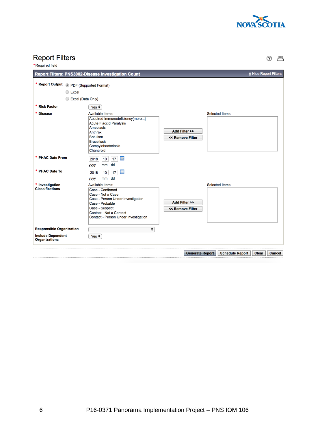

# Report Filters

② 昌

| <b>Required field</b>                                                    |                                                                                                                                                                                                                                                            |                                   |                        |                       |        |
|--------------------------------------------------------------------------|------------------------------------------------------------------------------------------------------------------------------------------------------------------------------------------------------------------------------------------------------------|-----------------------------------|------------------------|-----------------------|--------|
|                                                                          | <b>Report Filters: PNS3002-Disease Investigation Count</b>                                                                                                                                                                                                 |                                   |                        | ☆ Hide Report Filters |        |
| * Report Output @ PDF (Supported Format)<br>◯ Excel<br>Excel (Data Only) |                                                                                                                                                                                                                                                            |                                   |                        |                       |        |
| * Risk Factor                                                            | Yes $\div$                                                                                                                                                                                                                                                 |                                   |                        |                       |        |
| <b>Disease</b><br>* PHAC Date From                                       | Available Items:<br>Acquired Immunodeficiency[more]<br><b>Acute Flaccid Paralysis</b><br><b>Amebiasis</b><br>Anthrax<br><b>Botulism</b><br><b>Brucellosis</b><br>Campylobacteriosis<br>Chancroid<br>鼺<br>17 <sup>°</sup><br>2018<br>10<br>dd<br>mm<br>уууу | Add Filter >><br><< Remove Filter | Selected Items:        |                       |        |
| * PHAC Date To                                                           | 噩<br>10<br>17<br>2018<br>dd<br>mm<br>уууу                                                                                                                                                                                                                  |                                   |                        |                       |        |
| * Investigation<br><b>Classifications</b>                                | Available Items:<br>Case - Confirmed<br>Case - Not a Case<br>Case - Person Under Investigation<br>Case - Probable<br>Case - Suspect<br>Contact - Not a Contact<br>Contact - Person Under Investigation                                                     | Add Filter >><br><< Remove Filter | Selected Items:        |                       |        |
| <b>Responsible Organization</b>                                          | $\div$                                                                                                                                                                                                                                                     |                                   |                        |                       |        |
| <b>Include Dependent</b><br><b>Organizations</b>                         | Yes $\div$                                                                                                                                                                                                                                                 |                                   |                        |                       |        |
|                                                                          |                                                                                                                                                                                                                                                            | <b>Generate Report</b>            | <b>Schedule Report</b> | <b>Clear</b>          | Cancel |
|                                                                          |                                                                                                                                                                                                                                                            |                                   |                        |                       |        |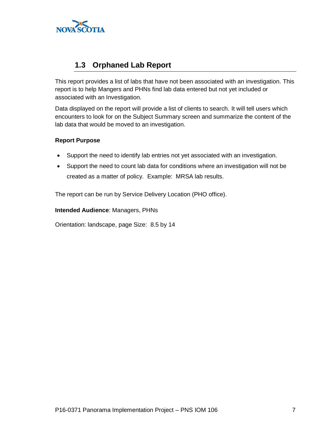

### <span id="page-8-0"></span>**1.3 Orphaned Lab Report**

This report provides a list of labs that have not been associated with an investigation. This report is to help Mangers and PHNs find lab data entered but not yet included or associated with an Investigation.

Data displayed on the report will provide a list of clients to search. It will tell users which encounters to look for on the Subject Summary screen and summarize the content of the lab data that would be moved to an investigation.

#### **Report Purpose**

- Support the need to identify lab entries not yet associated with an investigation.
- Support the need to count lab data for conditions where an investigation will not be created as a matter of policy. Example: MRSA lab results.

The report can be run by Service Delivery Location (PHO office).

#### **Intended Audience**: Managers, PHNs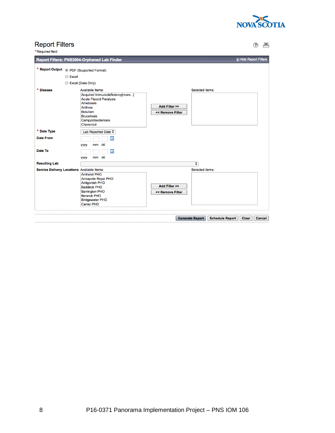

## Report Filters<br>\*Required field

② 旦

| Report Filters: PNS3004-Orphaned Lab Finder                                                                                                                                                      |                                                                                                                  |        | ☆ Hide Report Filters                            |  |
|--------------------------------------------------------------------------------------------------------------------------------------------------------------------------------------------------|------------------------------------------------------------------------------------------------------------------|--------|--------------------------------------------------|--|
| Excel (Data Only)                                                                                                                                                                                |                                                                                                                  |        |                                                  |  |
| <b>Available Items:</b><br>Acquired Immunodeficiency[more]<br><b>Acute Flaccid Paralysis</b><br>Amebiasis<br>Anthrax<br><b>Botulism</b><br><b>Brucellosis</b><br>Campylobacteriosis<br>Chancroid | Add Filter >><br><< Remove Filter                                                                                |        |                                                  |  |
| Lab Reported Date $\div$<br>噩<br>mm dd<br>уууу                                                                                                                                                   |                                                                                                                  |        |                                                  |  |
| 噩<br>mm dd<br>уууу                                                                                                                                                                               |                                                                                                                  |        |                                                  |  |
|                                                                                                                                                                                                  |                                                                                                                  | $\div$ |                                                  |  |
| <b>Amherst PHO</b><br>Annapolis Royal PHO<br>Antigonish PHO<br><b>Baddeck PHO</b><br><b>Barrington PHO</b><br><b>Berwick PHO</b><br><b>Bridgewater PHO</b><br>Canso PHO                          | Add Filter >><br><< Remove Filter                                                                                |        |                                                  |  |
|                                                                                                                                                                                                  | * Report Output @ PDF (Supported Format)<br>C Excel<br>$\bigcirc$<br>Service Delivery Locations Available Items: |        | <b>Selected Items:</b><br><b>Selected Items:</b> |  |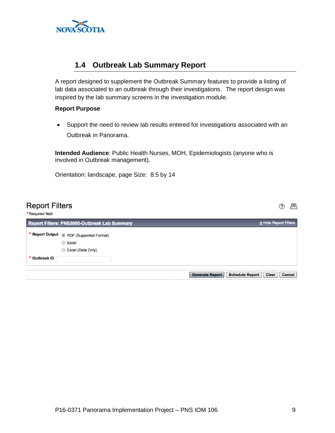

### <span id="page-10-0"></span>**1.4 Outbreak Lab Summary Report**

A report designed to supplement the Outbreak Summary features to provide a listing of lab data associated to an outbreak through their investigations. The report design was inspired by the lab summary screens in the investigation module.

#### **Report Purpose**

• Support the need to review lab results entered for investigations associated with an Outbreak in Panorama.

**Intended Audience**: Public Health Nurses, MOH, Epidemiologists (anyone who is involved in Outbreak management).

| <b>Report Filters</b><br>*Required field |                                                     | ⊑                                                                                 |
|------------------------------------------|-----------------------------------------------------|-----------------------------------------------------------------------------------|
|                                          | <b>Report Filters: PNS3005-Outbreak Lab Summary</b> | ☆ Hide Report Filters                                                             |
|                                          | * Report Output . PDF (Supported Format)            |                                                                                   |
|                                          | ◯ Excel                                             |                                                                                   |
|                                          | <b>Excel (Data Only)</b><br>O                       |                                                                                   |
| * Outbreak ID                            |                                                     |                                                                                   |
|                                          |                                                     |                                                                                   |
|                                          |                                                     | <b>Schedule Report</b><br><b>Generate Report</b><br><b>Clear</b><br><b>Cancel</b> |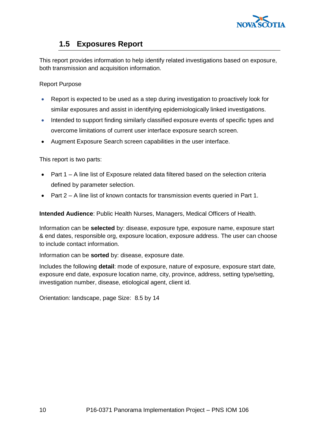

### **1.5 Exposures Report**

<span id="page-11-0"></span>This report provides information to help identify related investigations based on exposure, both transmission and acquisition information.

Report Purpose

- Report is expected to be used as a step during investigation to proactively look for similar exposures and assist in identifying epidemiologically linked investigations.
- Intended to support finding similarly classified exposure events of specific types and overcome limitations of current user interface exposure search screen.
- Augment Exposure Search screen capabilities in the user interface.

This report is two parts:

- Part 1 A line list of Exposure related data filtered based on the selection criteria defined by parameter selection.
- Part 2 A line list of known contacts for transmission events queried in Part 1.

**Intended Audience**: Public Health Nurses, Managers, Medical Officers of Health.

Information can be **selected** by: disease, exposure type, exposure name, exposure start & end dates, responsible org, exposure location, exposure address. The user can choose to include contact information.

Information can be **sorted** by: disease, exposure date.

Includes the following **detail**: mode of exposure, nature of exposure, exposure start date, exposure end date, exposure location name, city, province, address, setting type/setting, investigation number, disease, etiological agent, client id.